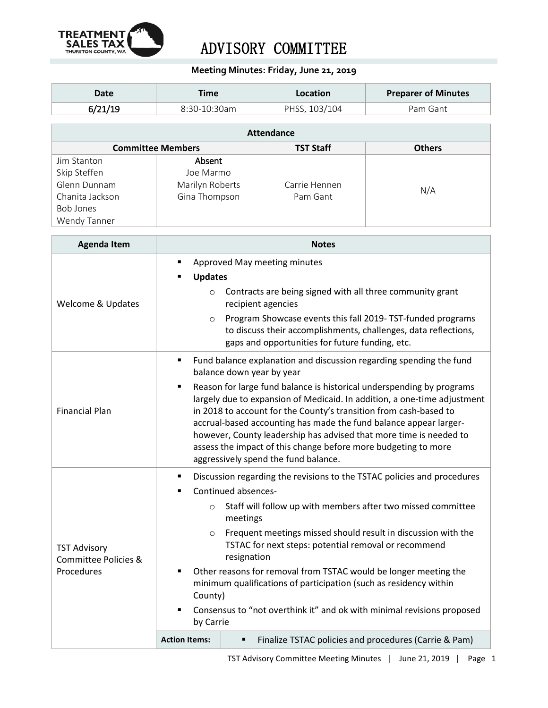

## ADVISORY COMMITTEE

## **Meeting Minutes: Friday, June 21, 2019**

| Date    | Time           | Location      | <b>Preparer of Minutes</b> |
|---------|----------------|---------------|----------------------------|
| 6/21/19 | $8:30-10:30am$ | PHSS, 103/104 | Pam Gant                   |

| <b>Attendance</b>        |                 |                  |               |  |  |  |
|--------------------------|-----------------|------------------|---------------|--|--|--|
| <b>Committee Members</b> |                 | <b>TST Staff</b> | <b>Others</b> |  |  |  |
| Jim Stanton              | Absent          |                  |               |  |  |  |
| Skip Steffen             | Joe Marmo       |                  |               |  |  |  |
| Glenn Dunnam             | Marilyn Roberts | Carrie Hennen    | N/A           |  |  |  |
| Chanita Jackson          | Gina Thompson   | Pam Gant         |               |  |  |  |
| Bob Jones                |                 |                  |               |  |  |  |
| Wendy Tanner             |                 |                  |               |  |  |  |

| <b>Agenda Item</b>                                                   | <b>Notes</b>                                                                                                                                                                                                                                                                                                                                                                                                                                                                                                                                                                              |  |  |
|----------------------------------------------------------------------|-------------------------------------------------------------------------------------------------------------------------------------------------------------------------------------------------------------------------------------------------------------------------------------------------------------------------------------------------------------------------------------------------------------------------------------------------------------------------------------------------------------------------------------------------------------------------------------------|--|--|
| <b>Welcome &amp; Updates</b>                                         | Approved May meeting minutes<br>٠<br><b>Updates</b><br>п<br>Contracts are being signed with all three community grant<br>$\circ$<br>recipient agencies<br>Program Showcase events this fall 2019-TST-funded programs<br>$\circ$<br>to discuss their accomplishments, challenges, data reflections,<br>gaps and opportunities for future funding, etc.                                                                                                                                                                                                                                     |  |  |
| <b>Financial Plan</b>                                                | Fund balance explanation and discussion regarding spending the fund<br>п<br>balance down year by year<br>Reason for large fund balance is historical underspending by programs<br>٠<br>largely due to expansion of Medicaid. In addition, a one-time adjustment<br>in 2018 to account for the County's transition from cash-based to<br>accrual-based accounting has made the fund balance appear larger-<br>however, County leadership has advised that more time is needed to<br>assess the impact of this change before more budgeting to more<br>aggressively spend the fund balance. |  |  |
| <b>TST Advisory</b><br><b>Committee Policies &amp;</b><br>Procedures | Discussion regarding the revisions to the TSTAC policies and procedures<br>Continued absences-<br>Staff will follow up with members after two missed committee<br>$\circ$<br>meetings<br>Frequent meetings missed should result in discussion with the<br>$\circ$<br>TSTAC for next steps: potential removal or recommend<br>resignation<br>Other reasons for removal from TSTAC would be longer meeting the<br>٠<br>minimum qualifications of participation (such as residency within<br>County)<br>Consensus to "not overthink it" and ok with minimal revisions proposed<br>by Carrie  |  |  |
|                                                                      | <b>Action Items:</b><br>Finalize TSTAC policies and procedures (Carrie & Pam)<br>٠                                                                                                                                                                                                                                                                                                                                                                                                                                                                                                        |  |  |